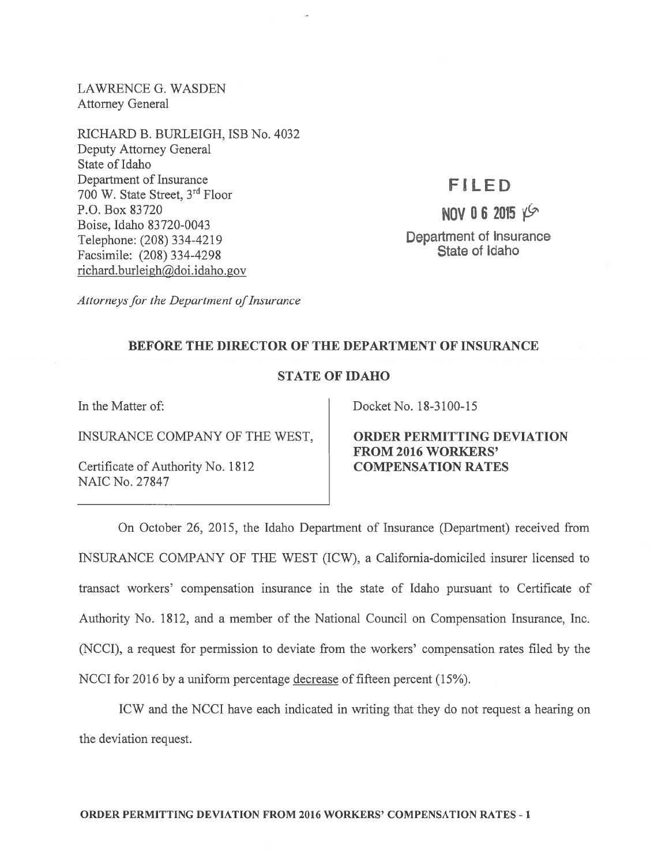LAWRENCE G. WASDEN Attorney General

RICHARD B. BURLEIGH, ISB No. 4032 Deputy Attorney General State of Idaho Department of Insurance 700 W. State Street, 3rd Floor P.O. Box 83720 Boise, Idaho 83720-0043 Telephone: (208) 334-4219 Facsimile: (208) 334-4298 richard.burleigh@doi.idaho.gov

## FILED

NOV 06 2015 YS Department of Insurance State of Idaho

Attorneys for the Department of Insurance

## BEFORE THE DIRECTOR OF THE DEPARTMENT OF INSURANCE

## STATE OF IDAHO

INSURANCE COMPANY OF THE WEST, ORDER PERMITTING DEVIATION

Certificate of Authority No. 1812 COMPENSATION RATES NAIC No. 27847

In the Matter of: Docket No. 18-3100-15

FROM 2016 WORKERS'

On October 26, 2015, the Idaho Department of Insurance (Department) received from INSURANCE COMPANY OF THE WEST (ICW), <sup>a</sup> California-domiciled insurer licensed to transact workers' compensation insurance in the state of Idaho pursuan<sup>t</sup> to Certificate of Authority No. 1812, and <sup>a</sup> member of the National Council on Compensation Insurance, Inc. (NCCI), <sup>a</sup> reques<sup>t</sup> for permission to deviate from the workers' compensation rates filed by the NCCI for 2016 by a uniform percentage decrease of fifteen percent (15%).

ICW and the NCCI have each indicated in writing that they do not reques<sup>t</sup> <sup>a</sup> hearing on the deviation request.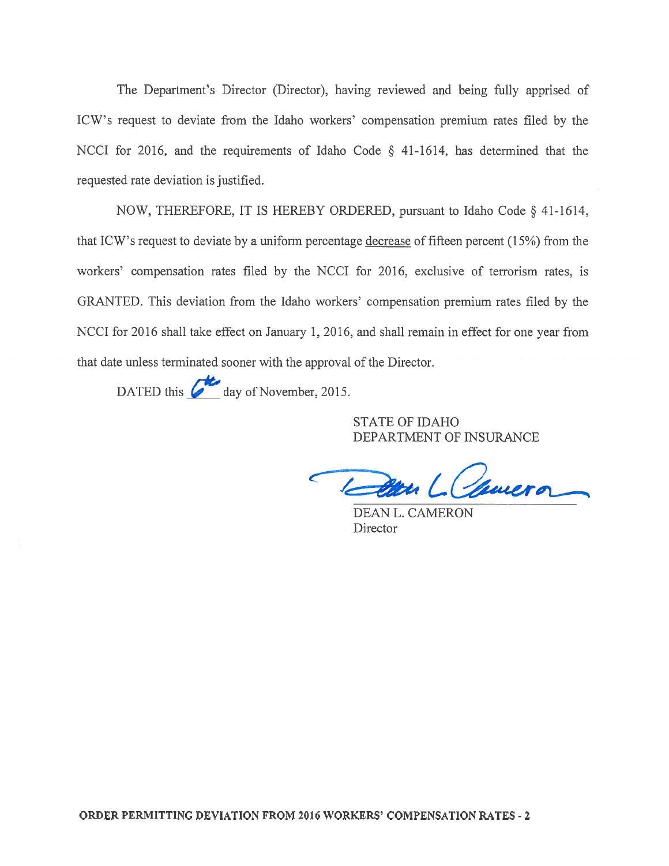The Department's Director (Director), having reviewed and being fully apprised of ICW's reques<sup>t</sup> to deviate from the Idaho workers' compensation premium rates filed by the NCCI for 2016, and the requirements of Idaho Code § 41-1614, has determined that the requested rate deviation is justified.

NOW, THEREFORE, IT IS HEREBY ORDERED, pursuan<sup>t</sup> to Idaho Code § 41-1614, that ICW's reques<sup>t</sup> to deviate by <sup>a</sup> uniform percentage decrease of fifteen percen<sup>t</sup> (15%) from the workers' compensation rates filed by the NCCI for 2016, exclusive of terrorism rates, is GRANTED. This deviation from the Idaho workers' compensation premium rates filed by the NCCI for 2016 shall take effect on January 1, 2016, and shall remain in effect for one year from that date unless terminated sooner with the approval of the Director.

DATED this  $\overline{G}$  day of November, 2015.

STATE OF IDAHO DEPARTMENT OF INSURANCE

Camera /

DEAN L. CAMERON Director